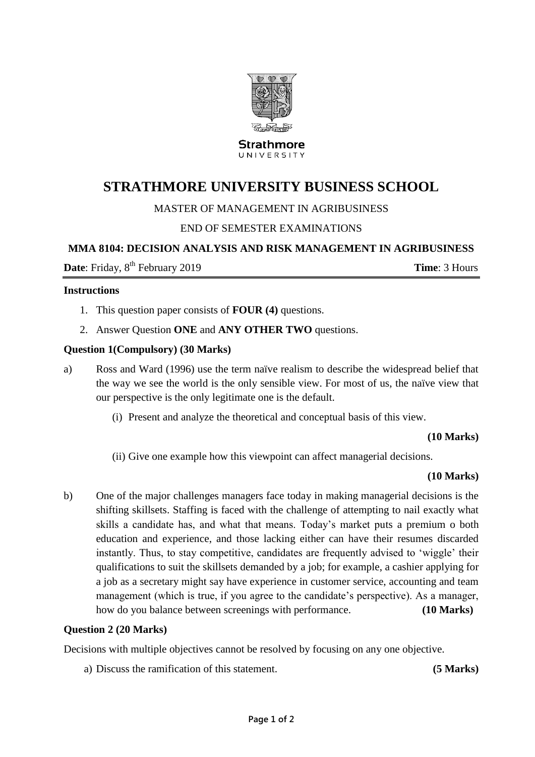

Strathmore UNIVERSITY

# **STRATHMORE UNIVERSITY BUSINESS SCHOOL**

## MASTER OF MANAGEMENT IN AGRIBUSINESS

## END OF SEMESTER EXAMINATIONS

## **MMA 8104: DECISION ANALYSIS AND RISK MANAGEMENT IN AGRIBUSINESS**

**Date**: Friday, 8<sup>th</sup> February 2019 **Time**: 3 Hours

#### **Instructions**

- 1. This question paper consists of **FOUR (4)** questions.
- 2. Answer Question **ONE** and **ANY OTHER TWO** questions.

#### **Question 1(Compulsory) (30 Marks)**

- a) Ross and Ward (1996) use the term naïve realism to describe the widespread belief that the way we see the world is the only sensible view. For most of us, the naïve view that our perspective is the only legitimate one is the default.
	- (i) Present and analyze the theoretical and conceptual basis of this view.

#### **(10 Marks)**

(ii) Give one example how this viewpoint can affect managerial decisions.

#### **(10 Marks)**

b) One of the major challenges managers face today in making managerial decisions is the shifting skillsets. Staffing is faced with the challenge of attempting to nail exactly what skills a candidate has, and what that means. Today's market puts a premium o both education and experience, and those lacking either can have their resumes discarded instantly. Thus, to stay competitive, candidates are frequently advised to 'wiggle' their qualifications to suit the skillsets demanded by a job; for example, a cashier applying for a job as a secretary might say have experience in customer service, accounting and team management (which is true, if you agree to the candidate's perspective). As a manager, how do you balance between screenings with performance. **(10 Marks)**

#### **Question 2 (20 Marks)**

Decisions with multiple objectives cannot be resolved by focusing on any one objective.

a) Discuss the ramification of this statement. **(5 Marks)**